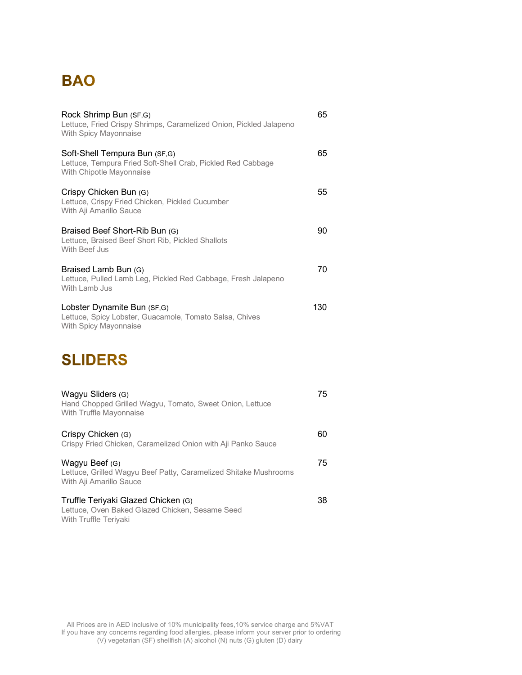## **BAO**

| Rock Shrimp Bun (SF,G)<br>Lettuce, Fried Crispy Shrimps, Caramelized Onion, Pickled Jalapeno<br>With Spicy Mayonnaise    | 65  |
|--------------------------------------------------------------------------------------------------------------------------|-----|
| Soft-Shell Tempura Bun (SF,G)<br>Lettuce, Tempura Fried Soft-Shell Crab, Pickled Red Cabbage<br>With Chipotle Mayonnaise | 65  |
| Crispy Chicken Bun (G)<br>Lettuce, Crispy Fried Chicken, Pickled Cucumber<br>With Aji Amarillo Sauce                     | 55  |
| Braised Beef Short-Rib Bun (G)<br>Lettuce, Braised Beef Short Rib, Pickled Shallots<br>With Beef Jus                     | 90  |
| Braised Lamb Bun (G)<br>Lettuce, Pulled Lamb Leg, Pickled Red Cabbage, Fresh Jalapeno<br>With Lamb Jus                   | 70  |
| Lobster Dynamite Bun (SF,G)<br>Lettuce, Spicy Lobster, Guacamole, Tomato Salsa, Chives<br>With Spicy Mayonnaise          | 130 |

## **SLIDERS**

| Wagyu Sliders (G)<br>Hand Chopped Grilled Wagyu, Tomato, Sweet Onion, Lettuce<br>With Truffle Mayonnaise        | 75 |
|-----------------------------------------------------------------------------------------------------------------|----|
| Crispy Chicken (G)<br>Crispy Fried Chicken, Caramelized Onion with Aji Panko Sauce                              | 60 |
| Wagyu Beef (G)<br>Lettuce, Grilled Wagyu Beef Patty, Caramelized Shitake Mushrooms<br>With Aji Amarillo Sauce   | 75 |
| Truffle Teriyaki Glazed Chicken (G)<br>Lettuce, Oven Baked Glazed Chicken, Sesame Seed<br>With Truffle Teriyaki | 38 |

 All Prices are in AED inclusive of 10% municipality fees,10% service charge and 5%VAT If you have any concerns regarding food allergies, please inform your server prior to ordering (V) vegetarian (SF) shellfish (A) alcohol (N) nuts (G) gluten (D) dairy